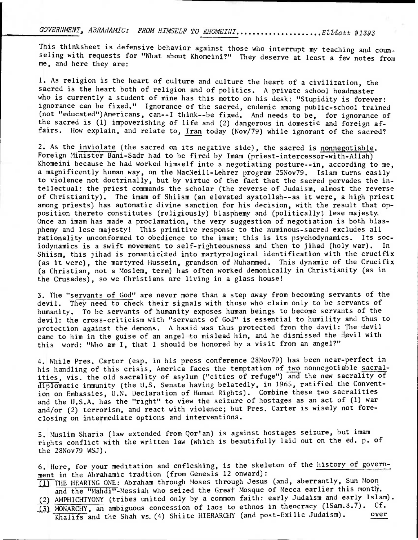GOVERNMENT, ABRAHAMIC: FROM HIMSELF TO KHOMEINI...................Elliott #1393

This thinksheet is defensive behavior against those who interrupt my teaching and counseling with requests for "What about Khomeini?" They deserve at least a few notes from me, and here they are:

1. As religion is the heart of culture and culture the heart of a civilization, the sacred is the heart both of religion and of politics. A private school headmaster who is currently a student of mine has this motto on his desk: "Stupidity is forever: ignorance can be fixed." Ignorance of the sacred, endemic among public-school trained (not "educated")Americans, can--I think--be fixed. And needs to be, for ignorance of the sacred is (1) impoverishing of life and (2) dangerous in domestic and foreign affairs. How explain, and relate to, Iran today (Nov/79) while ignorant of the sacred?

2. As the inviolate (the sacred on its negative side), the sacred is nonnegotiable. Foreign Minister Bani-Sadr had to be fired by Imam (priest-intercessor-with-Allah) Khomeini because he had worked himself into a negotiating posture--in, according to me, a magnificently human way, on the MacNeill-Lehrer program 25Nov79. Islam turns easily to violence not doctrinally, but by virtue of the fact that the sacred pervades the intellectual: the priest commands the scholar (the reverse of Judaism, almost the reverse of Christianity). The imam of Shiism (an elevated ayatollah--as it were, a high priest among priests) has automatic divine sanction for his decision, with the result that opposition thereto constitutes (religiously) blasphemy and (politically) lese majesty. Once an imam has made a proclamation, the very suggestion of negotiation is both blasphemy and lese majesty! This primitive response to the numinous-sacred excludes all rationality unconformed to obedience to the imam: this is its psychodynamics. Its sociodynamics is a swift movement to self-righteousness and then to jihad (holy war). In Shiism, this jihad is romanticized into martyrological identification with the crucifix (as it were), the martyred Hussein, grandson of Muhammed. This dynamic of the Crucifix (a Christian, not a Moslem, term) has often worked demonically in Christianity (as in the Crusades), so we Christians are living in a glass house!

3. The "servantsof God"are never more than a step away from becoming servants of the devil. They need to check their signals with those who claim only to be servants of humanity. To be servants of humanity exposes human beings to become servants of the devil: the cross-criticism with "servants of God" is essential to humility and thus to protection against the demons. A hasid was thus protected from the devil: The devil came to him in the guise of an angel to mislead him, and he dismissed the devil with this word: "Who am I, that I should be honored by a visit from an angel?"

4. While Pres. Carter (esp. in his press conference 28Nov79) has been near-perfect in his handling of this crisis, America faces the temptation of two nonnegotiable sacralities, vis. the old sacrality of asylum ("cities of refuge") and the new sacrality of diplomatic immunity (the U.S. Senate having belatedly, in 1965, ratified the Convention on Embassies, U.N. Declaration of Human Rights). Combine these two sacralities and the U.S.A. has the "right" to view the seizure of hostages as an act of (1) war and/or (2) terrorism, and react with violence; but Pres. Carter is wisely not foreclosing on intermediate options and interventions.

S. Muslim Sharia (law extended from Qor'an) is against hostages seizure, but imam rights conflict with the written law (which is beautifully laid out on the ed. p. of the 28Nov79 WSJ).

6. Here, for your meditation and enfleshing, is the skeleton of the history of government in the Abrahamic tradtion (from Genesis 12 onward):

fil THE HEARING ONE: Abraham through Moses through Jesus (and, aberrantly, Sun Moon and the "Mahdi"-Messiah who seized the Great Mosque of Mecca earlier this month.

(2) AMPHICHTYONY (tribes united only by a common faith: early Judaism and early Islam).

 $\overline{13}$  MONARCHY, an ambiguous concession of laos to ethnos in theocracy (1Sam.8.7). Cf.<br>
Khalifs and the Shah ys (4) Shiite HIERARCHY (and post-Exilic Judaism). over Khalifs and the Shah vs. (4) Shiite HIERARCHY (and post-Exilic Judaism).